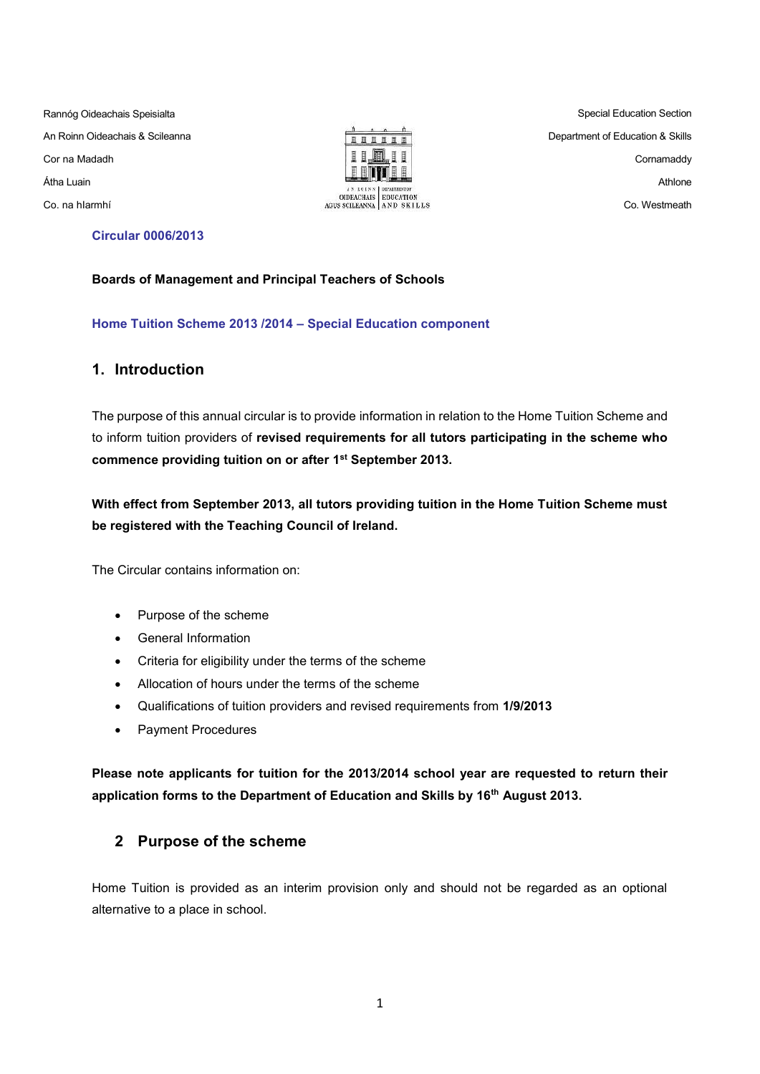Rannóg Oideachais Speisialta An Roinn Oideachais & Scileanna Cor na Madadh Átha Luain Co. na hIarmhí



Special Education Section Department of Education & Skills Cornamaddy Athlone Co. Westmeath

### **Circular 0006/2013**

#### **Boards of Management and Principal Teachers of Schools**

**Home Tuition Scheme 2013 /2014 – Special Education component** 

### **1. Introduction**

The purpose of this annual circular is to provide information in relation to the Home Tuition Scheme and to inform tuition providers of **revised requirements for all tutors participating in the scheme who commence providing tuition on or after 1st September 2013.**

**With effect from September 2013, all tutors providing tuition in the Home Tuition Scheme must be registered with the Teaching Council of Ireland.**

The Circular contains information on:

- Purpose of the scheme
- General Information
- Criteria for eligibility under the terms of the scheme
- Allocation of hours under the terms of the scheme
- Qualifications of tuition providers and revised requirements from **1/9/2013**
- Payment Procedures

**Please note applicants for tuition for the 2013/2014 school year are requested to return their application forms to the Department of Education and Skills by 16th August 2013.**

## **2 Purpose of the scheme**

Home Tuition is provided as an interim provision only and should not be regarded as an optional alternative to a place in school.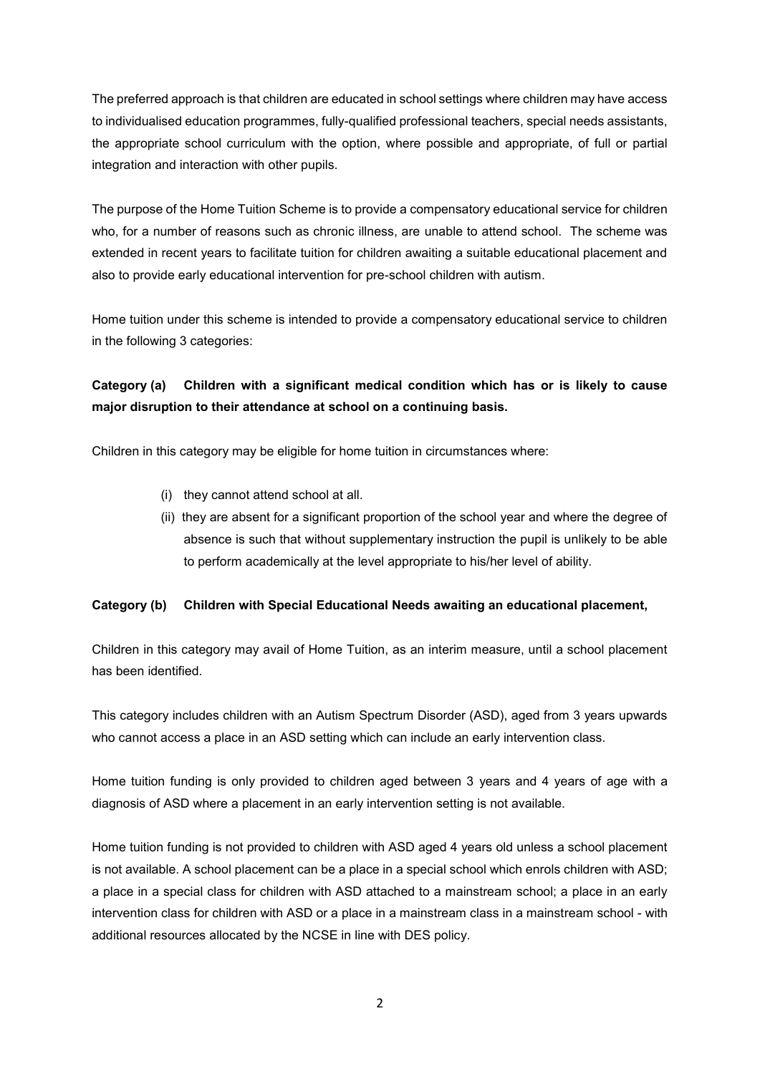The preferred approach is that children are educated in school settings where children may have access to individualised education programmes, fully-qualified professional teachers, special needs assistants, the appropriate school curriculum with the option, where possible and appropriate, of full or partial integration and interaction with other pupils.

The purpose of the Home Tuition Scheme is to provide a compensatory educational service for children who, for a number of reasons such as chronic illness, are unable to attend school. The scheme was extended in recent years to facilitate tuition for children awaiting a suitable educational placement and also to provide early educational intervention for pre-school children with autism.

Home tuition under this scheme is intended to provide a compensatory educational service to children in the following 3 categories:

# **Category (a) Children with a significant medical condition which has or is likely to cause major disruption to their attendance at school on a continuing basis.**

Children in this category may be eligible for home tuition in circumstances where:

- (i) they cannot attend school at all.
- (ii) they are absent for a significant proportion of the school year and where the degree of absence is such that without supplementary instruction the pupil is unlikely to be able to perform academically at the level appropriate to his/her level of ability.

## **Category (b) Children with Special Educational Needs awaiting an educational placement,**

Children in this category may avail of Home Tuition, as an interim measure, until a school placement has been identified.

This category includes children with an Autism Spectrum Disorder (ASD), aged from 3 years upwards who cannot access a place in an ASD setting which can include an early intervention class.

Home tuition funding is only provided to children aged between 3 years and 4 years of age with a diagnosis of ASD where a placement in an early intervention setting is not available.

Home tuition funding is not provided to children with ASD aged 4 years old unless a school placement is not available. A school placement can be a place in a special school which enrols children with ASD; a place in a special class for children with ASD attached to a mainstream school; a place in an early intervention class for children with ASD or a place in a mainstream class in a mainstream school - with additional resources allocated by the NCSE in line with DES policy.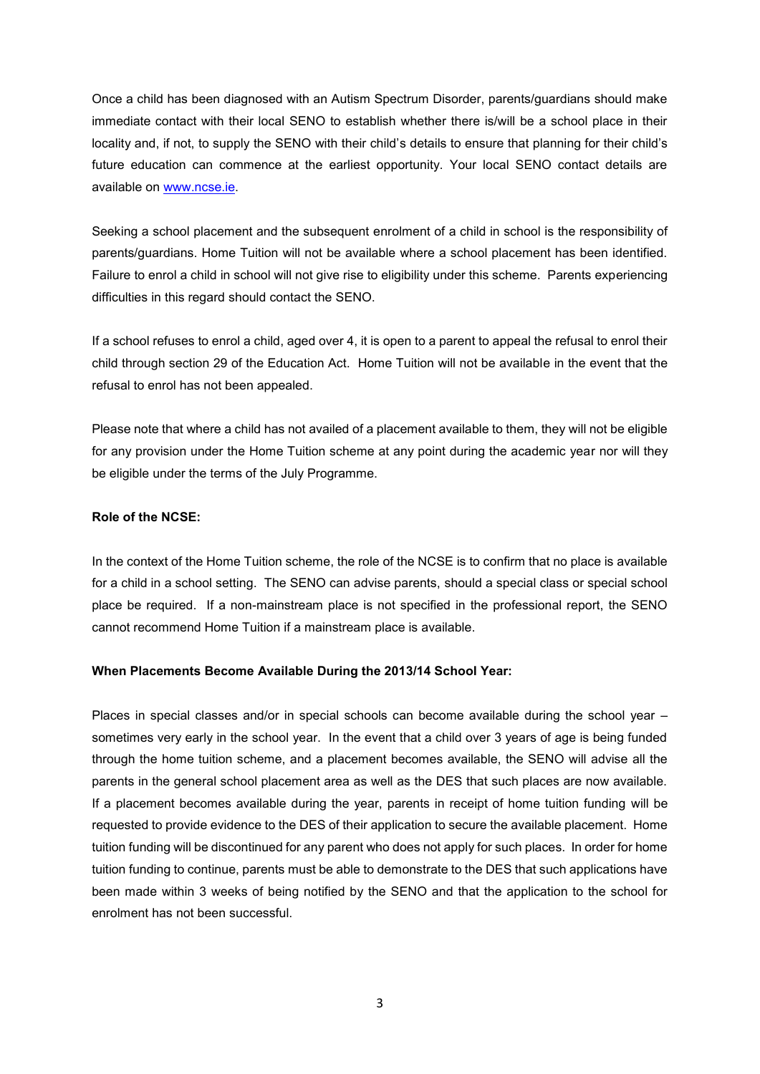Once a child has been diagnosed with an Autism Spectrum Disorder, parents/guardians should make immediate contact with their local SENO to establish whether there is/will be a school place in their locality and, if not, to supply the SENO with their child's details to ensure that planning for their child's future education can commence at the earliest opportunity. Your local SENO contact details are available on [www.ncse.ie.](http://www.ncse.ie/)

Seeking a school placement and the subsequent enrolment of a child in school is the responsibility of parents/guardians. Home Tuition will not be available where a school placement has been identified. Failure to enrol a child in school will not give rise to eligibility under this scheme. Parents experiencing difficulties in this regard should contact the SENO.

If a school refuses to enrol a child, aged over 4, it is open to a parent to appeal the refusal to enrol their child through section 29 of the Education Act. Home Tuition will not be available in the event that the refusal to enrol has not been appealed.

Please note that where a child has not availed of a placement available to them, they will not be eligible for any provision under the Home Tuition scheme at any point during the academic year nor will they be eligible under the terms of the July Programme.

### **Role of the NCSE:**

In the context of the Home Tuition scheme, the role of the NCSE is to confirm that no place is available for a child in a school setting. The SENO can advise parents, should a special class or special school place be required. If a non-mainstream place is not specified in the professional report, the SENO cannot recommend Home Tuition if a mainstream place is available.

#### **When Placements Become Available During the 2013/14 School Year:**

Places in special classes and/or in special schools can become available during the school year – sometimes very early in the school year. In the event that a child over 3 years of age is being funded through the home tuition scheme, and a placement becomes available, the SENO will advise all the parents in the general school placement area as well as the DES that such places are now available. If a placement becomes available during the year, parents in receipt of home tuition funding will be requested to provide evidence to the DES of their application to secure the available placement. Home tuition funding will be discontinued for any parent who does not apply for such places. In order for home tuition funding to continue, parents must be able to demonstrate to the DES that such applications have been made within 3 weeks of being notified by the SENO and that the application to the school for enrolment has not been successful.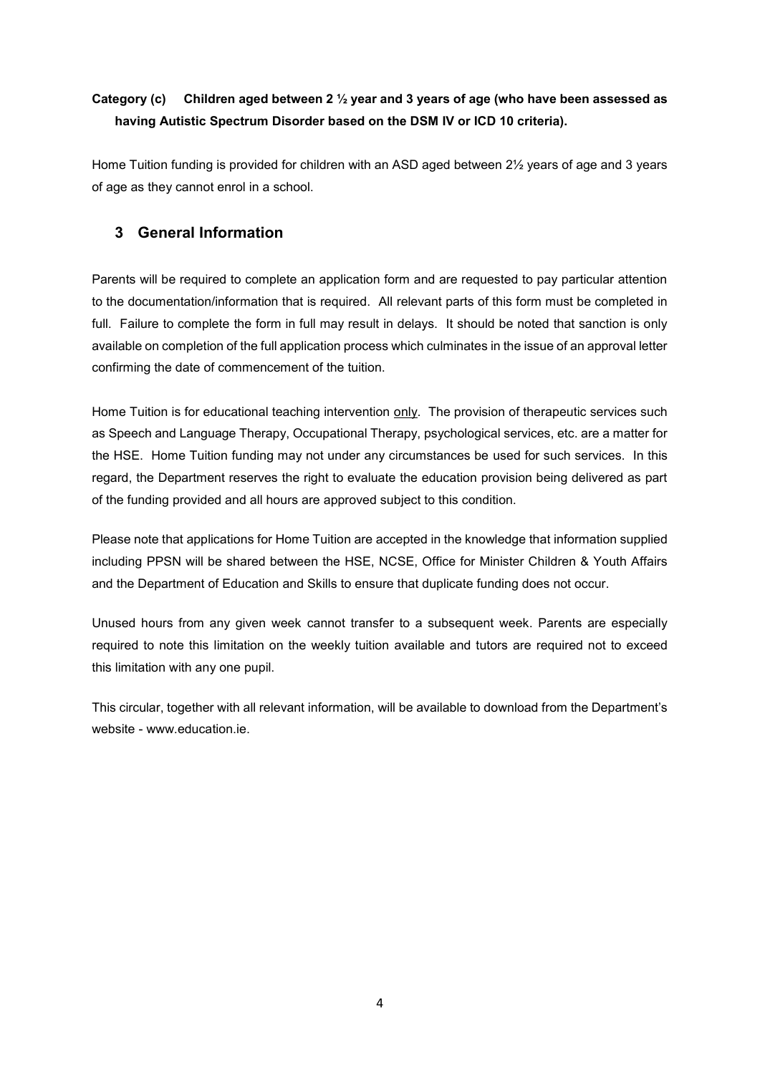# **Category (c) Children aged between 2 ½ year and 3 years of age (who have been assessed as having Autistic Spectrum Disorder based on the DSM IV or ICD 10 criteria).**

Home Tuition funding is provided for children with an ASD aged between 2½ years of age and 3 years of age as they cannot enrol in a school.

## **3 General Information**

Parents will be required to complete an application form and are requested to pay particular attention to the documentation/information that is required. All relevant parts of this form must be completed in full. Failure to complete the form in full may result in delays. It should be noted that sanction is only available on completion of the full application process which culminates in the issue of an approval letter confirming the date of commencement of the tuition.

Home Tuition is for educational teaching intervention only. The provision of therapeutic services such as Speech and Language Therapy, Occupational Therapy, psychological services, etc. are a matter for the HSE. Home Tuition funding may not under any circumstances be used for such services. In this regard, the Department reserves the right to evaluate the education provision being delivered as part of the funding provided and all hours are approved subject to this condition.

Please note that applications for Home Tuition are accepted in the knowledge that information supplied including PPSN will be shared between the HSE, NCSE, Office for Minister Children & Youth Affairs and the Department of Education and Skills to ensure that duplicate funding does not occur.

Unused hours from any given week cannot transfer to a subsequent week. Parents are especially required to note this limitation on the weekly tuition available and tutors are required not to exceed this limitation with any one pupil.

This circular, together with all relevant information, will be available to download from the Department's website - www.education.ie.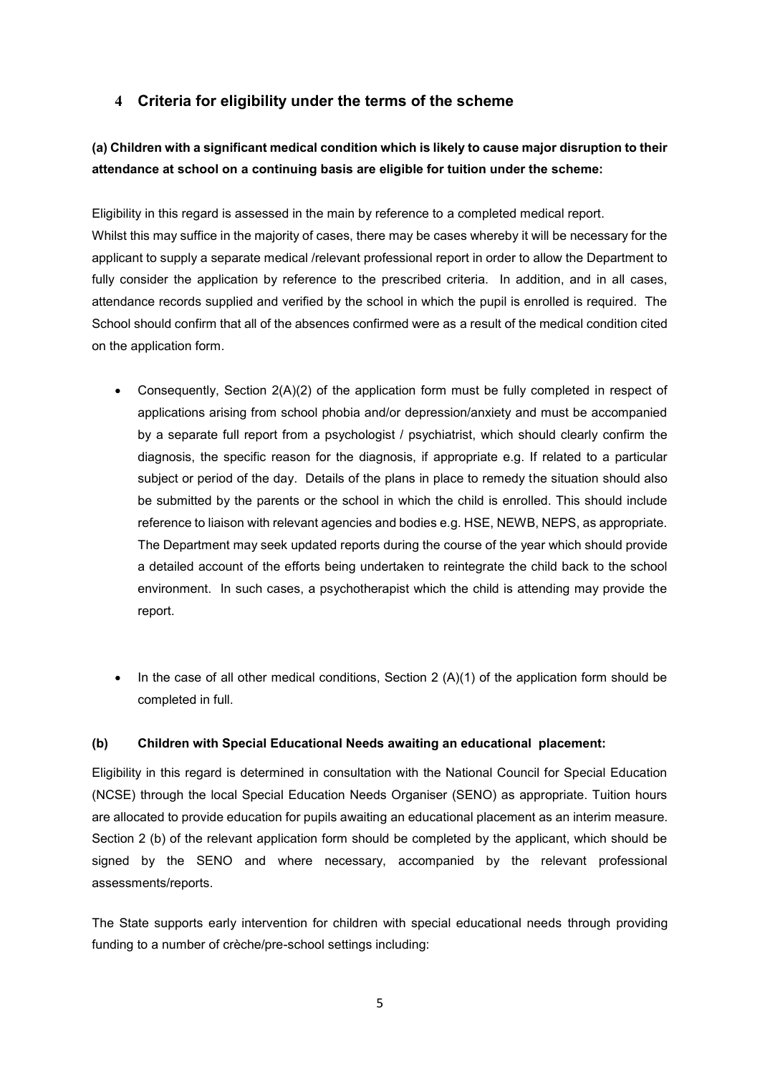## **4 Criteria for eligibility under the terms of the scheme**

# **(a) Children with a significant medical condition which is likely to cause major disruption to their attendance at school on a continuing basis are eligible for tuition under the scheme:**

Eligibility in this regard is assessed in the main by reference to a completed medical report. Whilst this may suffice in the majority of cases, there may be cases whereby it will be necessary for the applicant to supply a separate medical /relevant professional report in order to allow the Department to fully consider the application by reference to the prescribed criteria. In addition, and in all cases, attendance records supplied and verified by the school in which the pupil is enrolled is required. The School should confirm that all of the absences confirmed were as a result of the medical condition cited on the application form.

- Consequently, Section 2(A)(2) of the application form must be fully completed in respect of applications arising from school phobia and/or depression/anxiety and must be accompanied by a separate full report from a psychologist / psychiatrist, which should clearly confirm the diagnosis, the specific reason for the diagnosis, if appropriate e.g. If related to a particular subject or period of the day. Details of the plans in place to remedy the situation should also be submitted by the parents or the school in which the child is enrolled. This should include reference to liaison with relevant agencies and bodies e.g. HSE, NEWB, NEPS, as appropriate. The Department may seek updated reports during the course of the year which should provide a detailed account of the efforts being undertaken to reintegrate the child back to the school environment. In such cases, a psychotherapist which the child is attending may provide the report.
- $\bullet$  In the case of all other medical conditions, Section 2 (A)(1) of the application form should be completed in full.

### **(b) Children with Special Educational Needs awaiting an educational placement:**

Eligibility in this regard is determined in consultation with the National Council for Special Education (NCSE) through the local Special Education Needs Organiser (SENO) as appropriate. Tuition hours are allocated to provide education for pupils awaiting an educational placement as an interim measure. Section 2 (b) of the relevant application form should be completed by the applicant, which should be signed by the SENO and where necessary, accompanied by the relevant professional assessments/reports.

The State supports early intervention for children with special educational needs through providing funding to a number of crèche/pre-school settings including: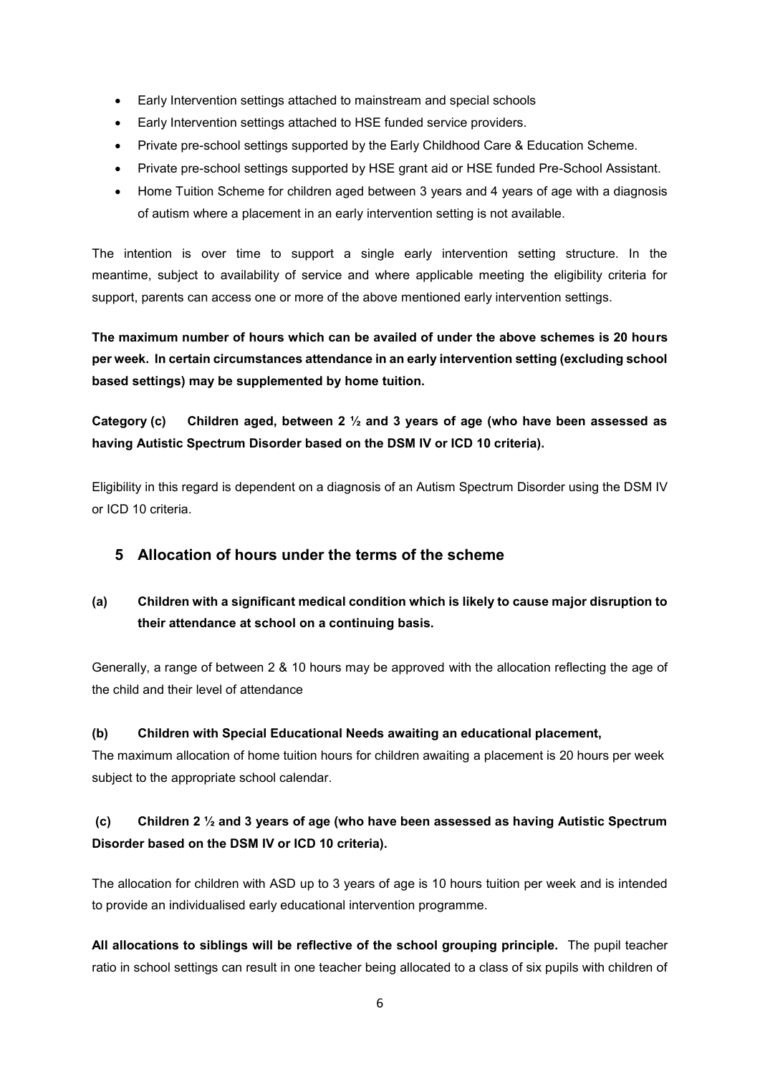- Early Intervention settings attached to mainstream and special schools
- Early Intervention settings attached to HSE funded service providers.
- Private pre-school settings supported by the Early Childhood Care & Education Scheme.
- Private pre-school settings supported by HSE grant aid or HSE funded Pre-School Assistant.
- Home Tuition Scheme for children aged between 3 years and 4 years of age with a diagnosis of autism where a placement in an early intervention setting is not available.

The intention is over time to support a single early intervention setting structure. In the meantime, subject to availability of service and where applicable meeting the eligibility criteria for support, parents can access one or more of the above mentioned early intervention settings.

**The maximum number of hours which can be availed of under the above schemes is 20 hours per week. In certain circumstances attendance in an early intervention setting (excluding school based settings) may be supplemented by home tuition.**

**Category (c) Children aged, between 2 ½ and 3 years of age (who have been assessed as having Autistic Spectrum Disorder based on the DSM IV or ICD 10 criteria).**

Eligibility in this regard is dependent on a diagnosis of an Autism Spectrum Disorder using the DSM IV or ICD 10 criteria.

## **5 Allocation of hours under the terms of the scheme**

# **(a) Children with a significant medical condition which is likely to cause major disruption to their attendance at school on a continuing basis.**

Generally, a range of between 2 & 10 hours may be approved with the allocation reflecting the age of the child and their level of attendance

### **(b) Children with Special Educational Needs awaiting an educational placement,**

The maximum allocation of home tuition hours for children awaiting a placement is 20 hours per week subject to the appropriate school calendar.

# **(c) Children 2 ½ and 3 years of age (who have been assessed as having Autistic Spectrum Disorder based on the DSM IV or ICD 10 criteria).**

The allocation for children with ASD up to 3 years of age is 10 hours tuition per week and is intended to provide an individualised early educational intervention programme.

**All allocations to siblings will be reflective of the school grouping principle.** The pupil teacher ratio in school settings can result in one teacher being allocated to a class of six pupils with children of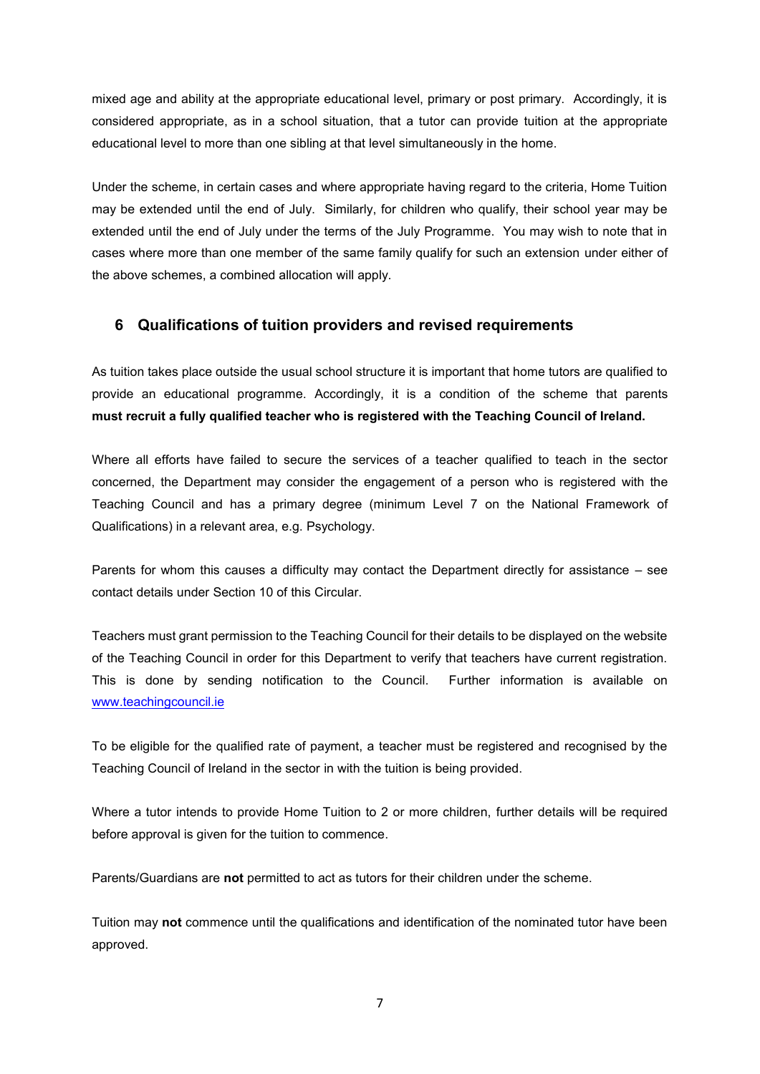mixed age and ability at the appropriate educational level, primary or post primary. Accordingly, it is considered appropriate, as in a school situation, that a tutor can provide tuition at the appropriate educational level to more than one sibling at that level simultaneously in the home.

Under the scheme, in certain cases and where appropriate having regard to the criteria, Home Tuition may be extended until the end of July. Similarly, for children who qualify, their school year may be extended until the end of July under the terms of the July Programme. You may wish to note that in cases where more than one member of the same family qualify for such an extension under either of the above schemes, a combined allocation will apply.

## **6 Qualifications of tuition providers and revised requirements**

As tuition takes place outside the usual school structure it is important that home tutors are qualified to provide an educational programme. Accordingly, it is a condition of the scheme that parents **must recruit a fully qualified teacher who is registered with the Teaching Council of Ireland.**

Where all efforts have failed to secure the services of a teacher qualified to teach in the sector concerned, the Department may consider the engagement of a person who is registered with the Teaching Council and has a primary degree (minimum Level 7 on the National Framework of Qualifications) in a relevant area, e.g. Psychology.

Parents for whom this causes a difficulty may contact the Department directly for assistance – see contact details under Section 10 of this Circular.

Teachers must grant permission to the Teaching Council for their details to be displayed on the website of the Teaching Council in order for this Department to verify that teachers have current registration. This is done by sending notification to the Council. Further information is available on [www.teachingcouncil.ie](http://www.teachingcouncil.ie/)

To be eligible for the qualified rate of payment, a teacher must be registered and recognised by the Teaching Council of Ireland in the sector in with the tuition is being provided.

Where a tutor intends to provide Home Tuition to 2 or more children, further details will be required before approval is given for the tuition to commence.

Parents/Guardians are **not** permitted to act as tutors for their children under the scheme.

Tuition may **not** commence until the qualifications and identification of the nominated tutor have been approved.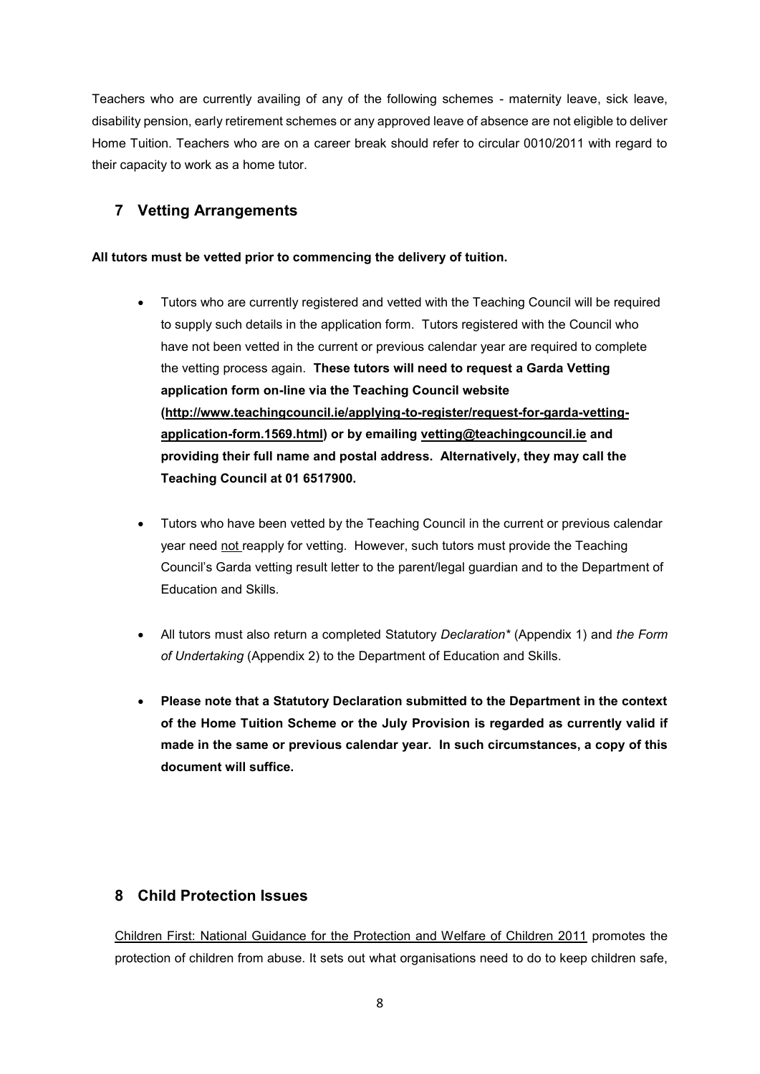Teachers who are currently availing of any of the following schemes - maternity leave, sick leave, disability pension, early retirement schemes or any approved leave of absence are not eligible to deliver Home Tuition. Teachers who are on a career break should refer to circular 0010/2011 with regard to their capacity to work as a home tutor.

# **7 Vetting Arrangements**

## **All tutors must be vetted prior to commencing the delivery of tuition.**

- Tutors who are currently registered and vetted with the Teaching Council will be required to supply such details in the application form. Tutors registered with the Council who have not been vetted in the current or previous calendar year are required to complete the vetting process again. **These tutors will need to request a Garda Vetting application form on-line via the Teaching Council website [\(http://www.teachingcouncil.ie/applying-to-register/request-for-garda-vetting](http://www.teachingcouncil.ie/applying-to-register/request-for-garda-vetting-application-form.1569.html)[application-form.1569.html\)](http://www.teachingcouncil.ie/applying-to-register/request-for-garda-vetting-application-form.1569.html) or by emailing [vetting@teachingcouncil.ie](mailto:vetting@teachingcouncil.ie) and providing their full name and postal address. Alternatively, they may call the Teaching Council at 01 6517900.**
- Tutors who have been vetted by the Teaching Council in the current or previous calendar year need not reapply for vetting. However, such tutors must provide the Teaching Council's Garda vetting result letter to the parent/legal guardian and to the Department of Education and Skills.
- All tutors must also return a completed Statutory *Declaration\** (Appendix 1) and *the Form of Undertaking* (Appendix 2) to the Department of Education and Skills.
- **Please note that a Statutory Declaration submitted to the Department in the context of the Home Tuition Scheme or the July Provision is regarded as currently valid if made in the same or previous calendar year. In such circumstances, a copy of this document will suffice.**

## **8 Child Protection Issues**

[Children First: National Guidance for the Protection and Welfare of Children 2011](http://www.dcya.gov.ie/documents/child_welfare_protection/ChildrenFirst.pdf) promotes the protection of children from abuse. It sets out what organisations need to do to keep children safe,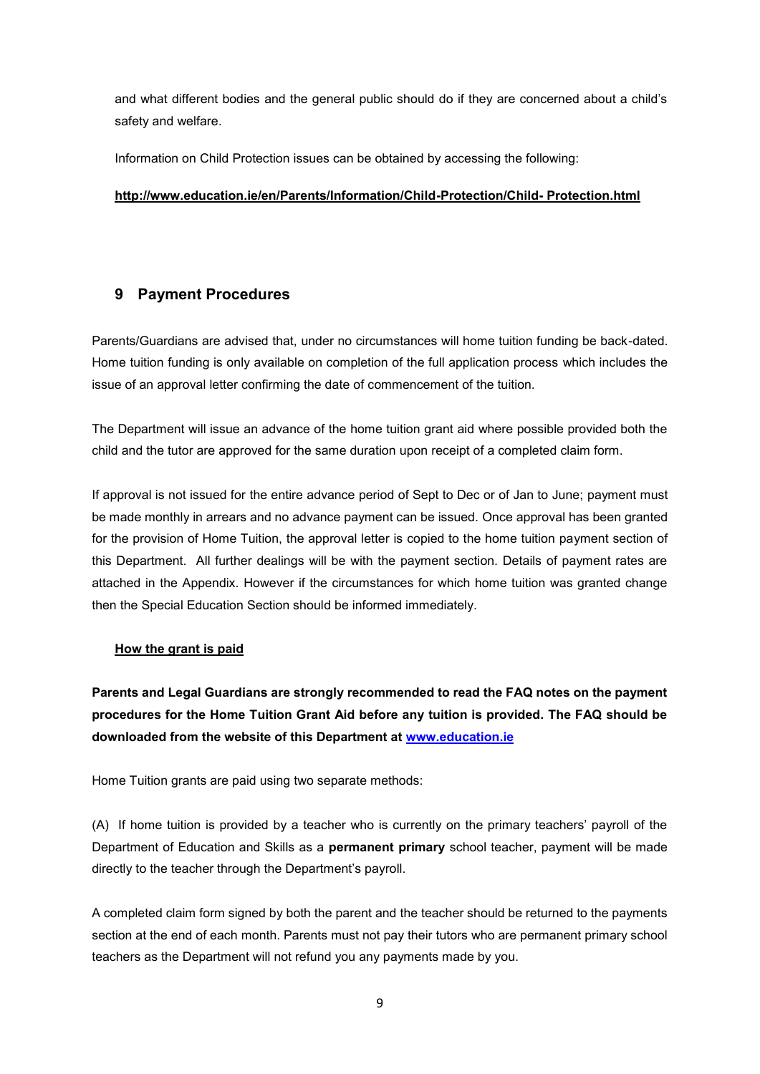and what different bodies and the general public should do if they are concerned about a child's safety and welfare.

Information on Child Protection issues can be obtained by accessing the following:

### **[http://www.education.ie/en/Parents/Information/Child-Protection/Child-](http://www.education.ie/en/Parents/Information/Child-Protection/Child-%20Protection.html) Protection.html**

## **9 Payment Procedures**

Parents/Guardians are advised that, under no circumstances will home tuition funding be back-dated. Home tuition funding is only available on completion of the full application process which includes the issue of an approval letter confirming the date of commencement of the tuition.

The Department will issue an advance of the home tuition grant aid where possible provided both the child and the tutor are approved for the same duration upon receipt of a completed claim form.

If approval is not issued for the entire advance period of Sept to Dec or of Jan to June; payment must be made monthly in arrears and no advance payment can be issued. Once approval has been granted for the provision of Home Tuition, the approval letter is copied to the home tuition payment section of this Department. All further dealings will be with the payment section. Details of payment rates are attached in the Appendix. However if the circumstances for which home tuition was granted change then the Special Education Section should be informed immediately.

### **How the grant is paid**

**Parents and Legal Guardians are strongly recommended to read the FAQ notes on the payment procedures for the Home Tuition Grant Aid before any tuition is provided. The FAQ should be downloaded from the website of this Department at [www.education.ie](http://www.education.ie/)**

Home Tuition grants are paid using two separate methods:

(A) If home tuition is provided by a teacher who is currently on the primary teachers' payroll of the Department of Education and Skills as a **permanent primary** school teacher, payment will be made directly to the teacher through the Department's payroll.

A completed claim form signed by both the parent and the teacher should be returned to the payments section at the end of each month. Parents must not pay their tutors who are permanent primary school teachers as the Department will not refund you any payments made by you.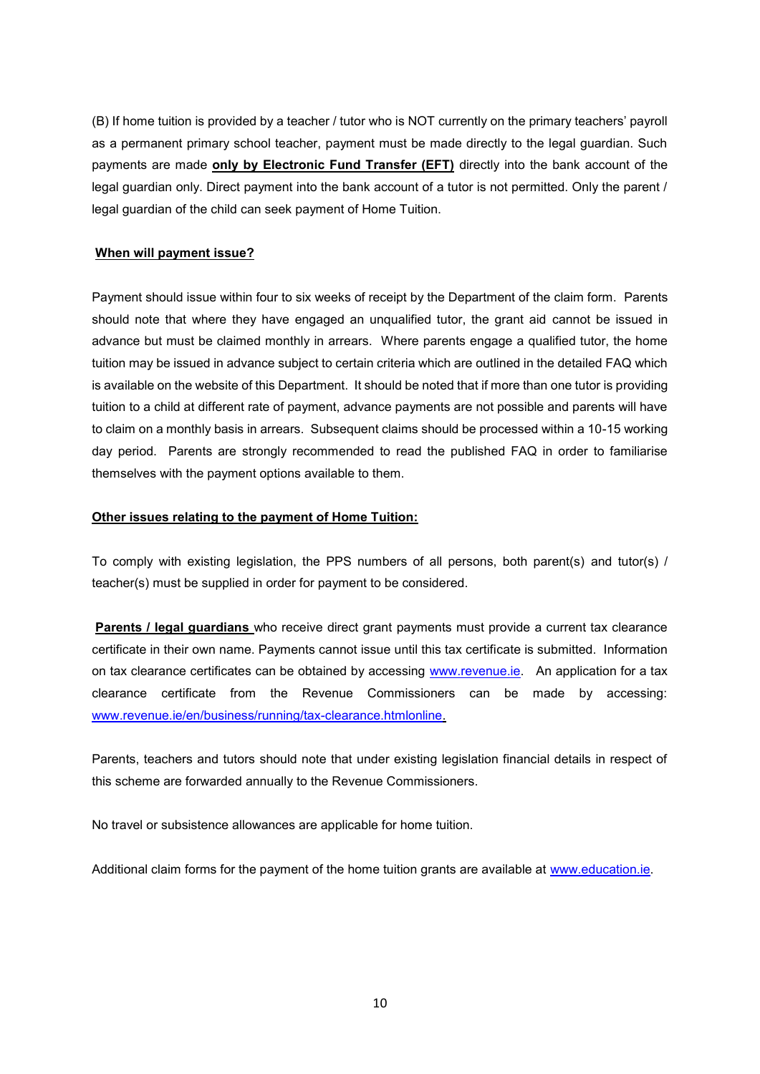(B) If home tuition is provided by a teacher / tutor who is NOT currently on the primary teachers' payroll as a permanent primary school teacher, payment must be made directly to the legal guardian. Such payments are made **only by Electronic Fund Transfer (EFT)** directly into the bank account of the legal guardian only. Direct payment into the bank account of a tutor is not permitted. Only the parent / legal guardian of the child can seek payment of Home Tuition.

### **When will payment issue?**

Payment should issue within four to six weeks of receipt by the Department of the claim form. Parents should note that where they have engaged an unqualified tutor, the grant aid cannot be issued in advance but must be claimed monthly in arrears. Where parents engage a qualified tutor, the home tuition may be issued in advance subject to certain criteria which are outlined in the detailed FAQ which is available on the website of this Department. It should be noted that if more than one tutor is providing tuition to a child at different rate of payment, advance payments are not possible and parents will have to claim on a monthly basis in arrears. Subsequent claims should be processed within a 10-15 working day period. Parents are strongly recommended to read the published FAQ in order to familiarise themselves with the payment options available to them.

### **Other issues relating to the payment of Home Tuition:**

To comply with existing legislation, the PPS numbers of all persons, both parent(s) and tutor(s) / teacher(s) must be supplied in order for payment to be considered.

**Parents / legal guardians** who receive direct grant payments must provide a current tax clearance certificate in their own name. Payments cannot issue until this tax certificate is submitted. Information on tax clearance certificates can be obtained by accessing [www.revenue.ie.](http://www.revenue.ie/) An application for a tax clearance certificate from the Revenue Commissioners can be made by accessing: [www.revenue.ie/en/business/running/tax-clearance.htmlonline.](http://www.revenue.ie/en/business/running/tax-clearance.htmlonline)

Parents, teachers and tutors should note that under existing legislation financial details in respect of this scheme are forwarded annually to the Revenue Commissioners.

No travel or subsistence allowances are applicable for home tuition.

Additional claim forms for the payment of the home tuition grants are available at [www.education.ie.](http://www.education.ie/)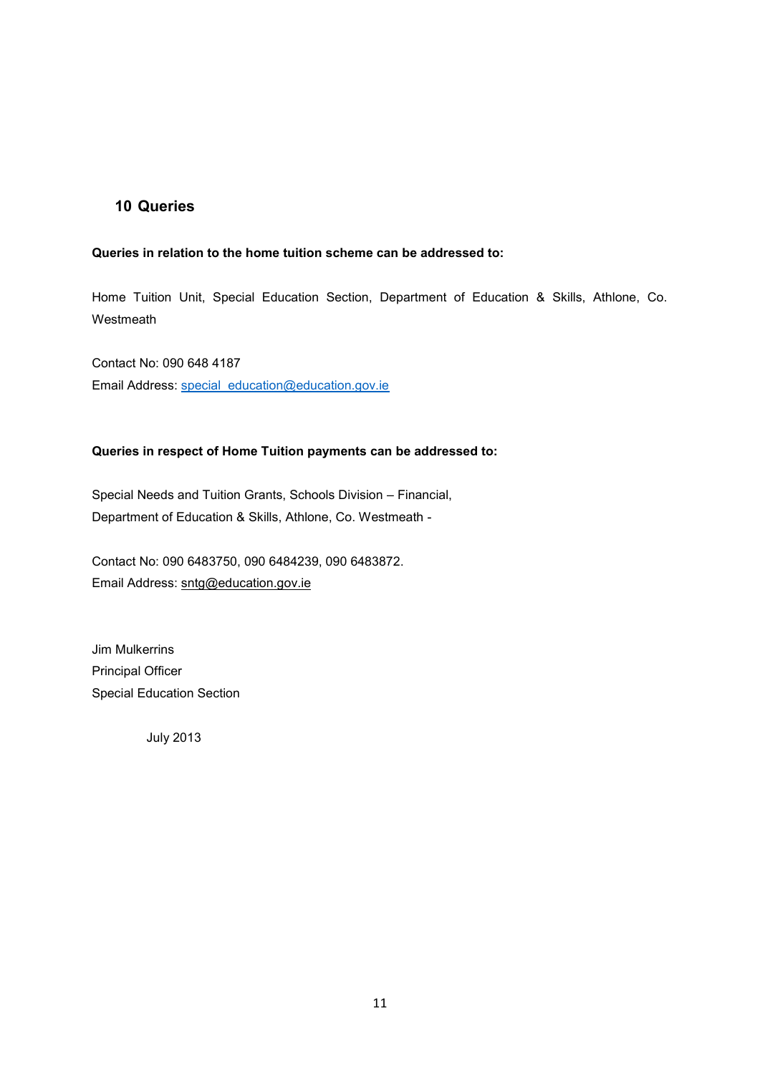## **10 Queries**

### **Queries in relation to the home tuition scheme can be addressed to:**

Home Tuition Unit, Special Education Section, Department of Education & Skills, Athlone, Co. Westmeath

Contact No: 090 648 4187 Email Address: [special\\_education@education.gov.ie](mailto:special_education@education.gov.ie)

#### **Queries in respect of Home Tuition payments can be addressed to:**

Special Needs and Tuition Grants, Schools Division – Financial, Department of Education & Skills, Athlone, Co. Westmeath -

Contact No: 090 6483750, 090 6484239, 090 6483872. Email Address: [sntg@education.gov.ie](mailto:sntg@education.gov.ie)

Jim Mulkerrins Principal Officer Special Education Section

July 2013